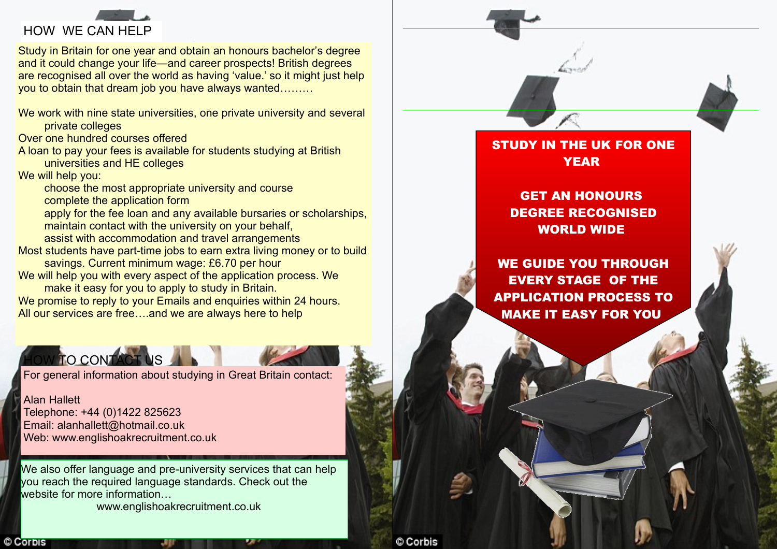

Study in Britain for one year and obtain an honours bachelor's degree and it could change your life—and career prospects! British degrees are recognised all over the world as having 'value.' so it might just help you to obtain that dream job you have always wanted………

We work with nine state universities, one private university and several private colleges

Over one hundred courses offered

A loan to pay your fees is available for students studying at British universities and HE colleges

We will help you:

© Corpis

choose the most appropriate university and course complete the application form

apply for the fee loan and any available bursaries or scholarships, maintain contact with the university on your behalf,

assist with accommodation and travel arrangements

Most students have part-time jobs to earn extra living money or to build savings. Current minimum wage: £6.70 per hour

We will help you with every aspect of the application process. We make it easy for you to apply to study in Britain.

We promise to reply to your Emails and enquiries within 24 hours. All our services are free….and we are always here to help

## OW TO CONTACT US

For general information about studying in Great Britain contact:

Alan Hallett Telephone: +44 (0)1422 825623 Email: alanhallett@hotmail.co.uk Web: www.englishoakrecruitment.co.uk

We also offer language and pre-university services that can help you reach the required language standards. Check out the website for more information www.englishoakrecruitment.co.uk

STUDY IN THE UK FOR ONE YEAR

GET AN HONOURS DEGREE RECOGNISED WORLD WIDE

WE GUIDE YOU THROUGH EVERY STAGE OF THE APPLICATION PROCESS TO MAKE IT EASY FOR YOU